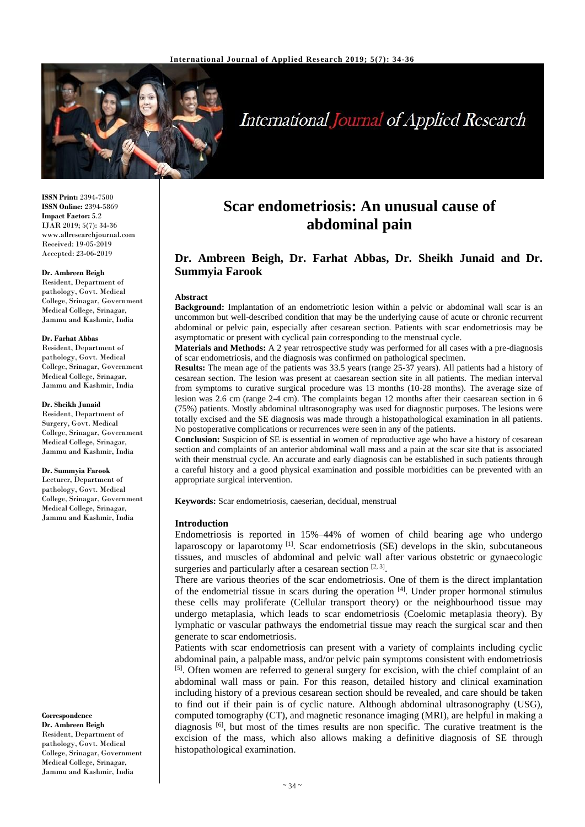

# **International Journal of Applied Research**

**ISSN Print:** 2394-7500 **ISSN Online:** 2394-5869 **Impact Factor:** 5.2 IJAR 2019; 5(7): 34-36 www.allresearchjournal.com Received: 19-05-2019 Accepted: 23-06-2019

## **Dr. Ambreen Beigh**

Resident, Department of pathology, Govt. Medical College, Srinagar, Government Medical College, Srinagar, Jammu and Kashmir, India

## **Dr. Farhat Abbas**

Resident, Department of pathology, Govt. Medical College, Srinagar, Government Medical College, Srinagar, Jammu and Kashmir, India

#### **Dr. Sheikh Junaid**

Resident, Department of Surgery, Govt. Medical College, Srinagar, Government Medical College, Srinagar, Jammu and Kashmir, India

## **Dr. Summyia Farook**

Lecturer, Department of pathology, Govt. Medical College, Srinagar, Government Medical College, Srinagar, Jammu and Kashmir, India

## **Correspondence Dr. Ambreen Beigh** Resident, Department of

pathology, Govt. Medical College, Srinagar, Government Medical College, Srinagar, Jammu and Kashmir, India

## **Scar endometriosis: An unusual cause of abdominal pain**

## **Dr. Ambreen Beigh, Dr. Farhat Abbas, Dr. Sheikh Junaid and Dr. Summyia Farook**

#### **Abstract**

**Background:** Implantation of an endometriotic lesion within a pelvic or abdominal wall scar is an uncommon but well-described condition that may be the underlying cause of acute or chronic recurrent abdominal or pelvic pain, especially after cesarean section. Patients with scar endometriosis may be asymptomatic or present with cyclical pain corresponding to the menstrual cycle.

**Materials and Methods:** A 2 year retrospective study was performed for all cases with a pre-diagnosis of scar endometriosis, and the diagnosis was confirmed on pathological specimen.

**Results:** The mean age of the patients was 33.5 years (range 25-37 years). All patients had a history of cesarean section. The lesion was present at caesarean section site in all patients. The median interval from symptoms to curative surgical procedure was 13 months (10-28 months). The average size of lesion was 2.6 cm (range 2-4 cm). The complaints began 12 months after their caesarean section in 6 (75%) patients. Mostly abdominal ultrasonography was used for diagnostic purposes. The lesions were totally excised and the SE diagnosis was made through a histopathological examination in all patients. No postoperative complications or recurrences were seen in any of the patients.

**Conclusion:** Suspicion of SE is essential in women of reproductive age who have a history of cesarean section and complaints of an anterior abdominal wall mass and a pain at the scar site that is associated with their menstrual cycle. An accurate and early diagnosis can be established in such patients through a careful history and a good physical examination and possible morbidities can be prevented with an appropriate surgical intervention.

**Keywords:** Scar endometriosis, caeserian, decidual, menstrual

## **Introduction**

Endometriosis is reported in 15%–44% of women of child bearing age who undergo laparoscopy or laparotomy<sup>[1]</sup>. Scar endometriosis (SE) develops in the skin, subcutaneous tissues, and muscles of abdominal and pelvic wall after various obstetric or gynaecologic surgeries and particularly after a cesarean section  $[2, 3]$ .

There are various theories of the scar endometriosis. One of them is the direct implantation of the endometrial tissue in scars during the operation  $[4]$ . Under proper hormonal stimulus these cells may proliferate (Cellular transport theory) or the neighbourhood tissue may undergo metaplasia, which leads to scar endometriosis (Coelomic metaplasia theory). By lymphatic or vascular pathways the endometrial tissue may reach the surgical scar and then generate to scar endometriosis.

Patients with scar endometriosis can present with a variety of complaints including cyclic abdominal pain, a palpable mass, and/or pelvic pain symptoms consistent with endometriosis <sup>[5]</sup>. Often women are referred to general surgery for excision, with the chief complaint of an abdominal wall mass or pain. For this reason, detailed history and clinical examination including history of a previous cesarean section should be revealed, and care should be taken to find out if their pain is of cyclic nature. Although abdominal ultrasonography (USG), computed tomography (CT), and magnetic resonance imaging (MRI), are helpful in making a diagnosis <sup>[6]</sup>, but most of the times results are non specific. The curative treatment is the excision of the mass, which also allows making a definitive diagnosis of SE through histopathological examination.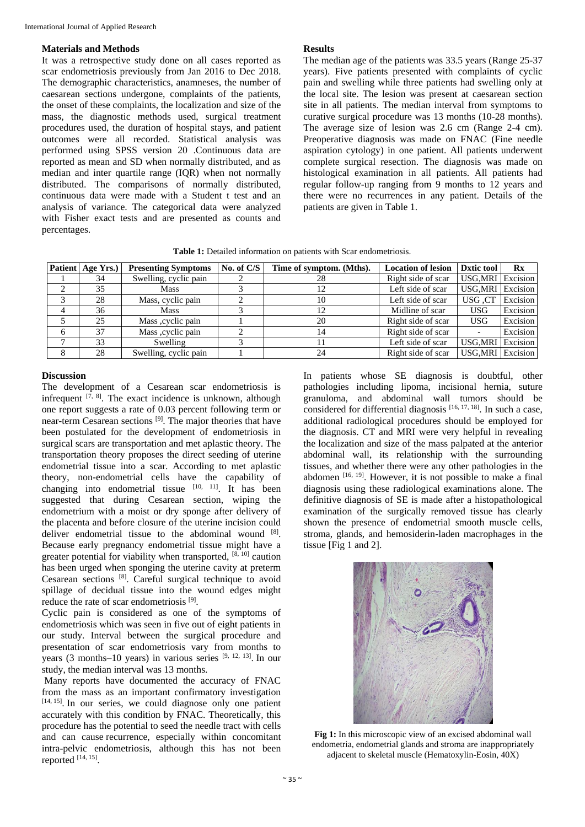## **Materials and Methods**

It was a retrospective study done on all cases reported as scar endometriosis previously from Jan 2016 to Dec 2018. The demographic characteristics, anamneses, the number of caesarean sections undergone, complaints of the patients, the onset of these complaints, the localization and size of the mass, the diagnostic methods used, surgical treatment procedures used, the duration of hospital stays, and patient outcomes were all recorded. Statistical analysis was performed using SPSS version 20 .Continuous data are reported as mean and SD when normally distributed, and as median and inter quartile range (IQR) when not normally distributed. The comparisons of normally distributed, continuous data were made with a Student t test and an analysis of variance. The categorical data were analyzed with Fisher exact tests and are presented as counts and percentages.

## **Results**

The median age of the patients was 33.5 years (Range 25-37 years). Five patients presented with complaints of cyclic pain and swelling while three patients had swelling only at the local site. The lesion was present at caesarean section site in all patients. The median interval from symptoms to curative surgical procedure was 13 months (10-28 months). The average size of lesion was 2.6 cm (Range 2-4 cm). Preoperative diagnosis was made on FNAC (Fine needle aspiration cytology) in one patient. All patients underwent complete surgical resection. The diagnosis was made on histological examination in all patients. All patients had regular follow-up ranging from 9 months to 12 years and there were no recurrences in any patient. Details of the patients are given in Table 1.

**Table 1:** Detailed information on patients with Scar endometriosis.

|   | Patient   Age Yrs.) | <b>Presenting Symptoms</b> | No. of C/S | Time of symptom. (Mths). | <b>Location of lesion</b> | <b>Dxtic tool</b>        | $\mathbf{R} \mathbf{x}$ |
|---|---------------------|----------------------------|------------|--------------------------|---------------------------|--------------------------|-------------------------|
|   | 34                  | Swelling, cyclic pain      |            | 28                       | Right side of scar        | <b>USG, MRI</b> Excision |                         |
|   | 35                  | Mass                       |            | 12                       | Left side of scar         | USG, MRI Excision        |                         |
|   | 28                  | Mass, cyclic pain          |            | 10                       | Left side of scar         | USG .CT                  | Excision                |
| 4 | 36                  | Mass                       |            | 12                       | Midline of scar           | <b>USG</b>               | Excision                |
|   | 25                  | Mass , cyclic pain         |            | 20                       | Right side of scar        | <b>USG</b>               | Excision                |
| 6 | 37                  | Mass, cyclic pain          |            | 14                       | Right side of scar        | $\overline{\phantom{a}}$ | Excision                |
|   | 33                  | Swelling                   |            |                          | Left side of scar         | <b>USG.MRI</b>           | Excision                |
|   | 28                  | Swelling, cyclic pain      |            | 24                       | Right side of scar        | USG, MRI Excision        |                         |

## **Discussion**

The development of a Cesarean scar endometriosis is infrequent  $[7, 8]$ . The exact incidence is unknown, although one report suggests a rate of 0.03 percent following term or near-term Cesarean sections<sup>[9]</sup>. The major theories that have been postulated for the development of endometriosis in surgical scars are transportation and met aplastic theory. The transportation theory proposes the direct seeding of uterine endometrial tissue into a scar. According to met aplastic theory, non-endometrial cells have the capability of changing into endometrial tissue  $[10, 11]$ . It has been suggested that during Cesarean section, wiping the endometrium with a moist or dry sponge after delivery of the placenta and before closure of the uterine incision could deliver endometrial tissue to the abdominal wound [8]. Because early pregnancy endometrial tissue might have a greater potential for viability when transported,  $[8, 10]$  caution has been urged when sponging the uterine cavity at preterm Cesarean sections [8] . Careful surgical technique to avoid spillage of decidual tissue into the wound edges might reduce the rate of scar endometriosis<sup>[9]</sup>.

Cyclic pain is considered as one of the symptoms of endometriosis which was seen in five out of eight patients in our study. Interval between the surgical procedure and presentation of scar endometriosis vary from months to years (3 months–10 years) in various series  $[9, 12, 13]$ . In our study, the median interval was 13 months.

Many reports have documented the accuracy of FNAC from the mass as an important confirmatory investigation [14, 15]. In our series, we could diagnose only one patient accurately with this condition by FNAC. Theoretically, this procedure has the potential to seed the needle tract with cells and can cause recurrence, especially within concomitant intra-pelvic endometriosis, although this has not been reported  $[14, 15]$ .

In patients whose SE diagnosis is doubtful, other pathologies including lipoma, incisional hernia, suture granuloma, and abdominal wall tumors should be considered for differential diagnosis  $[16, 17, 18]$ . In such a case, additional radiological procedures should be employed for the diagnosis. CT and MRI were very helpful in revealing the localization and size of the mass palpated at the anterior abdominal wall, its relationship with the surrounding tissues, and whether there were any other pathologies in the abdomen [16, 19]. However, it is not possible to make a final diagnosis using these radiological examinations alone. The definitive diagnosis of SE is made after a histopathological examination of the surgically removed tissue has clearly shown the presence of endometrial smooth muscle cells, stroma, glands, and hemosiderin-laden macrophages in the tissue [Fig 1 and 2].



**Fig 1:** In this microscopic view of an excised abdominal wall endometria, endometrial glands and stroma are inappropriately adjacent to skeletal muscle (Hematoxylin-Eosin, 40X)